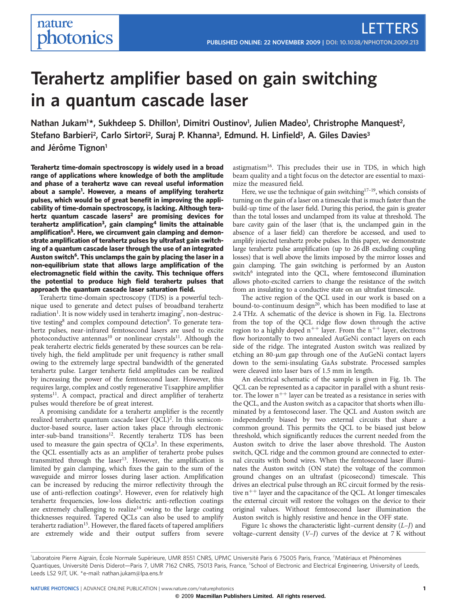# Terahertz amplifier based on gain switching in a quantum cascade laser

Nathan Jukam<sup>1\*</sup>, Sukhdeep S. Dhillon<sup>1</sup>, Dimitri Oustinov<sup>1</sup>, Julien Madeo<sup>1</sup>, Christrophe Manquest<sup>2</sup>, Stefano Barbieri<sup>2</sup>, Carlo Sirtori<sup>2</sup>, Suraj P. Khanna<sup>3</sup>, Edmund. H. Linfield<sup>3</sup>, A. Giles Davies<sup>3</sup> and Jérôme Tignon<sup>1</sup>

Terahertz time-domain spectroscopy is widely used in a broad range of applications where knowledge of both the amplitude and phase of a terahertz wave can reveal useful information about a sample<sup>1</sup>. However, a means of amplifying terahertz pulses, which would be of great benefit in improving the applicability of time-domain spectroscopy, is lacking. Although terahertz quantum cascade lasers<sup>2</sup> are promising devices for terahertz amplification<sup>3</sup>, gain clamping<sup>4</sup> limits the attainable amplification<sup>5</sup>. Here, we circumvent gain clamping and demonstrate amplification of terahertz pulses by ultrafast gain switching of a quantum cascade laser through the use of an integrated Auston switch<sup>6</sup>. This unclamps the gain by placing the laser in a non-equilibrium state that allows large amplification of the electromagnetic field within the cavity. This technique offers the potential to produce high field terahertz pulses that approach the quantum cascade laser saturation field.

Terahertz time-domain spectroscopy (TDS) is a powerful technique used to generate and detect pulses of broadband terahertz radiation<sup>1</sup>. It is now widely used in terahertz imaging<sup>7</sup>, non-destructive testing<sup>8</sup> and complex compound detection<sup>9</sup>. To generate terahertz pulses, near-infrared femtosecond lasers are used to excite photoconductive antennas<sup>10</sup> or nonlinear crystals<sup>11</sup>. Although the peak terahertz electric fields generated by these sources can be relatively high, the field amplitude per unit frequency is rather small owing to the extremely large spectral bandwidth of the generated terahertz pulse. Larger terahertz field amplitudes can be realized by increasing the power of the femtosecond laser. However, this requires large, complex and costly regenerative Ti:sapphire amplifier systems<sup>11</sup>. A compact, practical and direct amplifier of terahertz pulses would therefore be of great interest.

A promising candidate for a terahertz amplifier is the recently realized terahertz quantum cascade laser (QCL)<sup>2</sup>. In this semiconductor-based source, laser action takes place through electronic inter-sub-band transitions<sup>12</sup>. Recently terahertz TDS has been used to measure the gain spectra of  $QCLs<sup>3</sup>$ . In these experiments, the QCL essentially acts as an amplifier of terahertz probe pulses transmitted through the laser<sup>13</sup>. However, the amplification is limited by gain clamping, which fixes the gain to the sum of the waveguide and mirror losses during laser action. Amplification can be increased by reducing the mirror reflectivity through the use of anti-reflection coatings<sup>3</sup>. However, even for relatively high terahertz frequencies, low-loss dielectric anti-reflection coatings are extremely challenging to realize<sup>14</sup> owing to the large coating thicknesses required. Tapered QCLs can also be used to amplify terahertz radiation<sup>15</sup>. However, the flared facets of tapered amplifiers are extremely wide and their output suffers from severe

astigmatism<sup>16</sup>. This precludes their use in TDS, in which high beam quality and a tight focus on the detector are essential to maximize the measured field.

Here, we use the technique of gain switching<sup>17-19</sup>, which consists of turning on the gain of a laser on a timescale that is much faster than the build-up time of the laser field. During this period, the gain is greater than the total losses and unclamped from its value at threshold. The bare cavity gain of the laser (that is, the unclamped gain in the absence of a laser field) can therefore be accessed, and used to amplify injected terahertz probe pulses. In this paper, we demonstrate large terahertz pulse amplification (up to 26 dB excluding coupling losses) that is well above the limits imposed by the mirror losses and gain clamping. The gain switching is performed by an Auston switch<sup>6</sup> integrated into the QCL, where femtosecond illumination allows photo-excited carriers to change the resistance of the switch from an insulating to a conductive state on an ultrafast timescale.

The active region of the QCL used in our work is based on a bound-to-continuum design<sup>20</sup>, which has been modified to lase at 2.4 THz. A schematic of the device is shown in Fig. 1a. Electrons from the top of the QCL ridge flow down through the active region to a highly doped  $n^{++}$  layer. From the  $n^{++}$  layer, electrons flow horizontally to two annealed AuGeNi contact layers on each side of the ridge. The integrated Auston switch was realized by etching an 80-µm gap through one of the AuGeNi contact layers down to the semi-insulating GaAs substrate. Processed samples were cleaved into laser bars of 1.5 mm in length.

An electrical schematic of the sample is given in Fig. 1b. The QCL can be represented as a capacitor in parallel with a shunt resistor. The lower  $n^{++}$  layer can be treated as a resistance in series with the QCL, and the Auston switch as a capacitor that shorts when illuminated by a femtosecond laser. The QCL and Auston switch are independently biased by two external circuits that share a common ground. This permits the QCL to be biased just below threshold, which significantly reduces the current needed from the Auston switch to drive the laser above threshold. The Auston switch, QCL ridge and the common ground are connected to external circuits with bond wires. When the femtosecond laser illuminates the Auston switch (ON state) the voltage of the common ground changes on an ultrafast (picosecond) timescale. This drives an electrical pulse through an RC circuit formed by the resistive  $n^{++}$  layer and the capacitance of the QCL. At longer timescales the external circuit will restore the voltages on the device to their original values. Without femtosecond laser illumination the Auston switch is highly resistive and hence in the OFF state.

Figure 1c shows the characteristic light–current density  $(L-J)$  and voltage–current density  $(V-J)$  curves of the device at 7 K without

<sup>&</sup>lt;sup>1</sup>Laboratoire Pierre Aigrain, École Normale Supérieure, UMR 8551 CNRS, UPMC Université Paris 6 75005 Paris, France, <sup>2</sup>Matériaux et Phénomènes Quantiques, Université Denis Diderot—Paris 7, UMR 7162 CNRS, 75013 Paris, France, <sup>3</sup>School of Electronic and Electrical Engineering, University of Leeds, Leeds LS2 9JT, UK. \*e-mail: [nathan.jukam@lpa.ens.fr](mailto:nathan.jukam@lpa.ens.fr)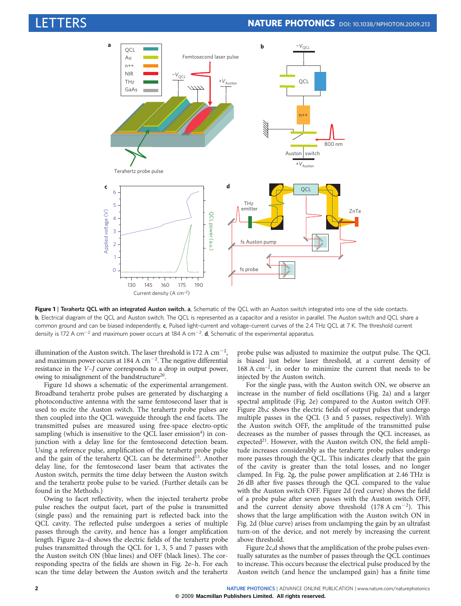

Figure 1 | Terahertz QCL with an integrated Auston switch. a, Schematic of the QCL with an Auston switch integrated into one of the side contacts. b, Electrical diagram of the QCL and Auston switch. The QCL is represented as a capacitor and a resistor in parallel. The Auston switch and QCL share a common ground and can be biased independently. c, Pulsed light-current and voltage-current curves of the 2.4 THz QCL at 7 K. The threshold current density is 172 A cm<sup>-2</sup> and maximum power occurs at 184 A cm<sup>-2</sup>. **d**, Schematic of the experimental apparatus.

illumination of the Auston switch. The laser threshold is 172 A  $\rm cm^{-2}$ , and maximum power occurs at 184 A  $cm^{-2}$ . The negative differential resistance in the V–J curve corresponds to a drop in output power, owing to misalignment of the bandstructure<sup>20</sup>.

Figure 1d shows a schematic of the experimental arrangement. Broadband terahertz probe pulses are generated by discharging a photoconductive antenna with the same femtosecond laser that is used to excite the Auston switch. The terahertz probe pulses are then coupled into the QCL waveguide through the end facets. The transmitted pulses are measured using free-space electro-optic sampling (which is insensitive to the QCL laser emission<sup>4</sup>) in conjunction with a delay line for the femtosecond detection beam. Using a reference pulse, amplification of the terahertz probe pulse and the gain of the terahertz QCL can be determined<sup>13</sup>. Another delay line, for the femtosecond laser beam that activates the Auston switch, permits the time delay between the Auston switch and the terahertz probe pulse to be varied. (Further details can be found in the Methods.)

Owing to facet reflectivity, when the injected terahertz probe pulse reaches the output facet, part of the pulse is transmitted (single pass) and the remaining part is reflected back into the QCL cavity. The reflected pulse undergoes a series of multiple passes through the cavity, and hence has a longer amplification length. Figure 2a–d shows the electric fields of the terahertz probe pulses transmitted through the QCL for 1, 3, 5 and 7 passes with the Auston switch ON (blue lines) and OFF (black lines). The corresponding spectra of the fields are shown in Fig. 2e–h. For each scan the time delay between the Auston switch and the terahertz

probe pulse was adjusted to maximize the output pulse. The QCL is biased just below laser threshold, at a current density of  $168 \text{ A cm}^{-2}$ , in order to minimize the current that needs to be injected by the Auston switch.

For the single pass, with the Auston switch ON, we observe an increase in the number of field oscillations (Fig. 2a) and a larger spectral amplitude (Fig. 2e) compared to the Auston switch OFF. Figure 2b,c shows the electric fields of output pulses that undergo multiple passes in the QCL (3 and 5 passes, respectively). With the Auston switch OFF, the amplitude of the transmitted pulse decreases as the number of passes through the QCL increases, as expected<sup>21</sup>. However, with the Auston switch ON, the field amplitude increases considerably as the terahertz probe pulses undergo more passes through the QCL. This indicates clearly that the gain of the cavity is greater than the total losses, and no longer clamped. In Fig. 2g, the pulse power amplification at 2.46 THz is 26 dB after five passes through the QCL compared to the value with the Auston switch OFF. Figure 2d (red curve) shows the field of a probe pulse after seven passes with the Auston switch OFF, and the current density above threshold  $(178 \text{ A cm}^{-2})$ . This shows that the large amplification with the Auston switch ON in Fig. 2d (blue curve) arises from unclamping the gain by an ultrafast turn-on of the device, and not merely by increasing the current above threshold.

Figure 2c,d shows that the amplification of the probe pulses eventually saturates as the number of passes through the QCL continues to increase. This occurs because the electrical pulse produced by the Auston switch (and hence the unclamped gain) has a finite time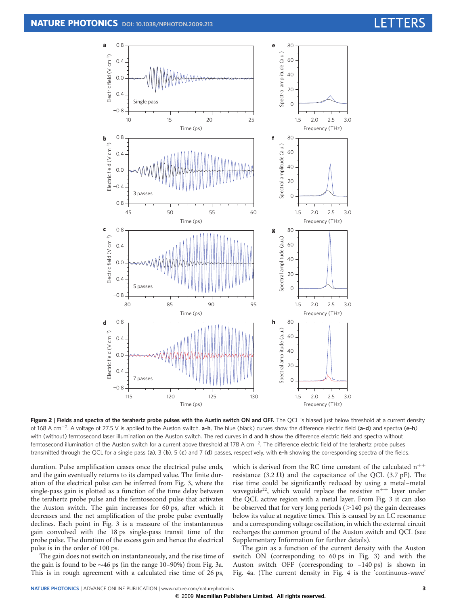

Figure 2 | Fields and spectra of the terahertz probe pulses with the Austin switch ON and OFF. The QCL is biased just below threshold at a current density of 168 A cm<sup>-2</sup>. A voltage of 27.5 V is applied to the Auston switch. a-h, The blue (black) curves show the difference electric field (a-d) and spectra (e-h) with (without) femtosecond laser illumination on the Auston switch. The red curves in **d** and h show the difference electric field and spectra without femtosecond illumination of the Auston switch for a current above threshold at 178 A cm<sup>-2</sup>. The difference electric field of the terahertz probe pulses transmitted through the QCL for a single pass (a),  $3$  (b),  $5$  (c) and  $7$  (d) passes, respectively, with e-h showing the corresponding spectra of the fields.

duration. Pulse amplification ceases once the electrical pulse ends, and the gain eventually returns to its clamped value. The finite duration of the electrical pulse can be inferred from Fig. 3, where the single-pass gain is plotted as a function of the time delay between the terahertz probe pulse and the femtosecond pulse that activates the Auston switch. The gain increases for 60 ps, after which it decreases and the net amplification of the probe pulse eventually declines. Each point in Fig. 3 is a measure of the instantaneous gain convolved with the 18 ps single-pass transit time of the probe pulse. The duration of the excess gain and hence the electrical pulse is in the order of 100 ps.

The gain does not switch on instantaneously, and the rise time of the gain is found to be  $\sim$  46 ps (in the range 10–90%) from Fig. 3a. This is in rough agreement with a calculated rise time of 26 ps,

which is derived from the RC time constant of the calculated  $n^{++}$ resistance (3.2  $\Omega$ ) and the capacitance of the QCL (3.7 pF). The rise time could be significantly reduced by using a metal–metal waveguide<sup>22</sup>, which would replace the resistive  $n^{++}$  layer under the QCL active region with a metal layer. From Fig. 3 it can also be observed that for very long periods  $(>140 \text{ ps})$  the gain decreases below its value at negative times. This is caused by an LC resonance and a corresponding voltage oscillation, in which the external circuit recharges the common ground of the Auston switch and QCL (see Supplementary Information for further details).

The gain as a function of the current density with the Auston switch ON (corresponding to 60 ps in Fig. 3) and with the Auston switch OFF (corresponding to –140 ps) is shown in Fig. 4a. (The current density in Fig. 4 is the 'continuous-wave'

**©** 2009 **Macmillan Publishers Limited. All rights reserved.**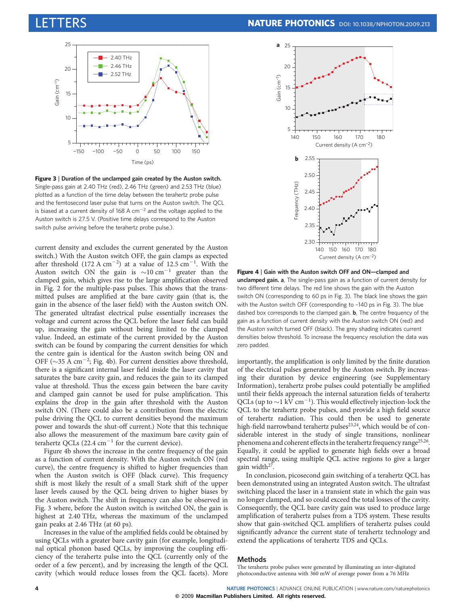

Figure 3 | Duration of the unclamped gain created by the Auston switch. Single-pass gain at 2.40 THz (red), 2.46 THz (green) and 2.53 THz (blue) plotted as a function of the time delay between the terahertz probe pulse and the femtosecond laser pulse that turns on the Auston switch. The QCL is biased at a current density of 168 A  $cm^{-2}$  and the voltage applied to the Auston switch is 27.5 V. (Positive time delays correspond to the Auston switch pulse arriving before the terahertz probe pulse.).

current density and excludes the current generated by the Auston switch.) With the Auston switch OFF, the gain clamps as expected after threshold  $(172 \text{ A cm}^{-2})$  at a value of  $12.5 \text{ cm}^{-1}$ . With the Auston switch ON the gain is  $\sim 10 \text{ cm}^{-1}$  greater than the clamped gain, which gives rise to the large amplification observed in Fig. 2 for the multiple-pass pulses. This shows that the transmitted pulses are amplified at the bare cavity gain (that is, the gain in the absence of the laser field) with the Auston switch ON. The generated ultrafast electrical pulse essentially increases the voltage and current across the QCL before the laser field can build up, increasing the gain without being limited to the clamped value. Indeed, an estimate of the current provided by the Auston switch can be found by comparing the current densities for which the centre gain is identical for the Auston switch being ON and OFF ( $\sim$ 35 A cm<sup>-2</sup>; Fig. 4b). For current densities above threshold, there is a significant internal laser field inside the laser cavity that saturates the bare cavity gain, and reduces the gain to its clamped value at threshold. Thus the excess gain between the bare cavity and clamped gain cannot be used for pulse amplification. This explains the drop in the gain after threshold with the Auston switch ON. (There could also be a contribution from the electric pulse driving the QCL to current densities beyond the maximum power and towards the shut-off current.) Note that this technique also allows the measurement of the maximum bare cavity gain of terahertz QCLs  $(22.4 \text{ cm}^{-1} \text{ for the current device}).$ 

Figure 4b shows the increase in the centre frequency of the gain as a function of current density. With the Auston switch ON (red curve), the centre frequency is shifted to higher frequencies than when the Auston switch is OFF (black curve). This frequency shift is most likely the result of a small Stark shift of the upper laser levels caused by the QCL being driven to higher biases by the Auston switch. The shift in frequency can also be observed in Fig. 3 where, before the Auston switch is switched ON, the gain is highest at 2.40 THz, whereas the maximum of the unclamped gain peaks at 2.46 THz (at 60 ps).

Increases in the value of the amplified fields could be obtained by using QCLs with a greater bare cavity gain (for example, longitudinal optical phonon based QCLs, by improving the coupling efficiency of the terahertz pulse into the QCL (currently only of the order of a few percent), and by increasing the length of the QCL cavity (which would reduce losses from the QCL facets). More



Figure 4 | Gain with the Auston switch OFF and ON—clamped and unclamped gain. a, The single-pass gain as a function of current density for two different time delays. The red line shows the gain with the Auston switch ON (corresponding to 60 ps in Fig. 3). The black line shows the gain with the Auston switch OFF (corresponding to –140 ps in Fig. 3). The blue dashed box corresponds to the clamped gain. **b**, The centre frequency of the gain as a function of current density with the Auston switch ON (red) and the Auston switch turned OFF (black). The grey shading indicates current densities below threshold. To increase the frequency resolution the data was zero padded.

importantly, the amplification is only limited by the finite duration of the electrical pulses generated by the Auston switch. By increasing their duration by device engineering (see Supplementary Information), terahertz probe pulses could potentially be amplified until their fields approach the internal saturation fields of terahertz QCLs (up to  $\sim$ 1 kV cm<sup>-1</sup>). This would effectively injection-lock the QCL to the terahertz probe pulses, and provide a high field source of terahertz radiation. This could then be used to generate high-field narrowband terahertz pulses<sup>23,24</sup>, which would be of considerable interest in the study of single transitions, nonlinear phenomena and coherent effects in the terahertz frequency range<sup>25,26</sup>. Equally, it could be applied to generate high fields over a broad spectral range, using multiple QCL active regions to give a larger gain width $27$ 

In conclusion, picosecond gain switching of a terahertz QCL has been demonstrated using an integrated Auston switch. The ultrafast switching placed the laser in a transient state in which the gain was no longer clamped, and so could exceed the total losses of the cavity. Consequently, the QCL bare cavity gain was used to produce large amplification of terahertz pulses from a TDS system. These results show that gain-switched QCL amplifiers of terahertz pulses could significantly advance the current state of terahertz technology and extend the applications of terahertz TDS and QCLs.

#### **Methods**

The terahertz probe pulses were generated by illuminating an inter-digitated photoconductive antenna with 360 mW of average power from a 76 MHz